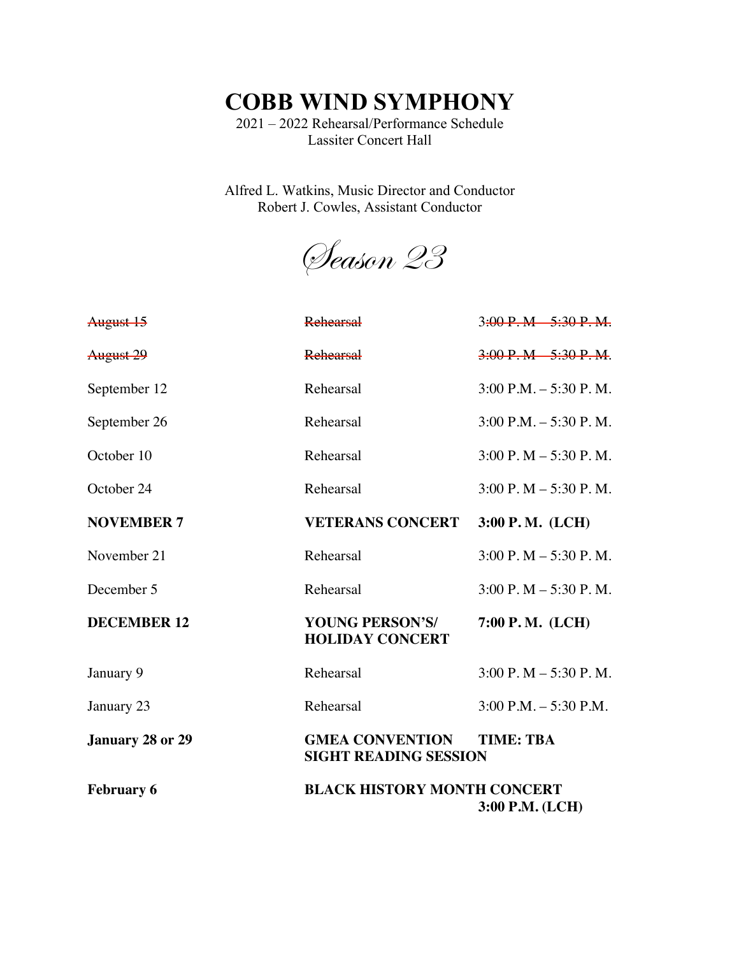**COBB WIND SYMPHONY**

2021 – 2022 Rehearsal/Performance Schedule Lassiter Concert Hall

Alfred L. Watkins, Music Director and Conductor Robert J. Cowles, Assistant Conductor

Season 23

| <b>February 6</b>  | <b>BLACK HISTORY MONTH CONCERT</b>                                         | 3:00 P.M. (LCH)                              |
|--------------------|----------------------------------------------------------------------------|----------------------------------------------|
| January 28 or 29   | <b>GMEA CONVENTION</b><br><b>TIME: TBA</b><br><b>SIGHT READING SESSION</b> |                                              |
| January 23         | Rehearsal                                                                  | $3:00$ P.M. $-5:30$ P.M.                     |
| January 9          | Rehearsal                                                                  | $3:00 \text{ P}$ . M $- 5:30 \text{ P}$ . M. |
| <b>DECEMBER 12</b> | YOUNG PERSON'S/<br><b>HOLIDAY CONCERT</b>                                  | $7:00$ P.M. (LCH)                            |
| December 5         | Rehearsal                                                                  | $3:00 \text{ P}$ . M $- 5:30 \text{ P}$ . M. |
| November 21        | Rehearsal                                                                  | $3:00$ P. M $- 5:30$ P. M.                   |
| <b>NOVEMBER 7</b>  | <b>VETERANS CONCERT</b>                                                    | 3:00 P.M. (LCH)                              |
| October 24         | Rehearsal                                                                  | $3:00 \text{ P}$ . M $- 5:30 \text{ P}$ . M. |
| October 10         | Rehearsal                                                                  | $3:00$ P. M $-5:30$ P. M.                    |
| September 26       | Rehearsal                                                                  | $3:00$ P.M. $-5:30$ P.M.                     |
| September 12       | Rehearsal                                                                  | $3:00$ P.M. $-5:30$ P.M.                     |
| August 29          | <b>Rehearsal</b>                                                           | $3:00 \text{ P. M}$ $5:30 \text{ P. M}$ .    |
| August 15          | <b>Rehearsal</b>                                                           | $3:90 \text{ P}$ . M $-5:30 \text{ P}$ . M.  |